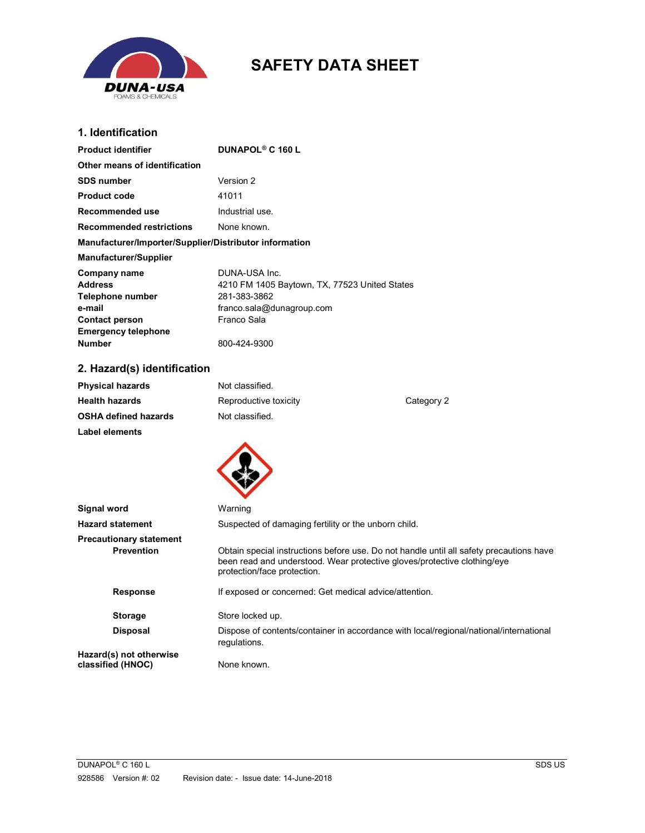

# SAFETY DATA SHEET

## 1. Identification

| <b>Product identifier</b>                                                                                                     | DUNAPOL <sup>®</sup> C 160 L                                                                                                                                                                       |            |
|-------------------------------------------------------------------------------------------------------------------------------|----------------------------------------------------------------------------------------------------------------------------------------------------------------------------------------------------|------------|
| Other means of identification                                                                                                 |                                                                                                                                                                                                    |            |
| <b>SDS number</b>                                                                                                             | Version 2                                                                                                                                                                                          |            |
| <b>Product code</b>                                                                                                           | 41011                                                                                                                                                                                              |            |
| Recommended use                                                                                                               | Industrial use.                                                                                                                                                                                    |            |
| <b>Recommended restrictions</b>                                                                                               | None known.                                                                                                                                                                                        |            |
| Manufacturer/Importer/Supplier/Distributor information                                                                        |                                                                                                                                                                                                    |            |
| <b>Manufacturer/Supplier</b>                                                                                                  |                                                                                                                                                                                                    |            |
| Company name<br>Address<br>Telephone number<br>e-mail<br><b>Contact person</b><br><b>Emergency telephone</b><br><b>Number</b> | DUNA-USA Inc.<br>4210 FM 1405 Baytown, TX, 77523 United States<br>281-383-3862<br>franco.sala@dunagroup.com<br>Franco Sala<br>800-424-9300                                                         |            |
| 2. Hazard(s) identification                                                                                                   |                                                                                                                                                                                                    |            |
| <b>Physical hazards</b>                                                                                                       | Not classified.                                                                                                                                                                                    |            |
| <b>Health hazards</b>                                                                                                         | Reproductive toxicity                                                                                                                                                                              | Category 2 |
| <b>OSHA defined hazards</b>                                                                                                   | Not classified.                                                                                                                                                                                    |            |
| <b>Label elements</b>                                                                                                         |                                                                                                                                                                                                    |            |
| Signal word                                                                                                                   | Warning                                                                                                                                                                                            |            |
| <b>Hazard statement</b>                                                                                                       | Suspected of damaging fertility or the unborn child.                                                                                                                                               |            |
| <b>Precautionary statement</b>                                                                                                |                                                                                                                                                                                                    |            |
| <b>Prevention</b>                                                                                                             | Obtain special instructions before use. Do not handle until all safety precautions have<br>been read and understood. Wear protective gloves/protective clothing/eye<br>protection/face protection. |            |
| <b>Response</b>                                                                                                               | If exposed or concerned: Get medical advice/attention.                                                                                                                                             |            |
| <b>Storage</b>                                                                                                                | Store locked up.                                                                                                                                                                                   |            |
| <b>Disposal</b>                                                                                                               | Dispose of contents/container in accordance with local/regional/national/international<br>regulations.                                                                                             |            |
| Hazard(s) not otherwise<br>classified (HNOC)                                                                                  | None known.                                                                                                                                                                                        |            |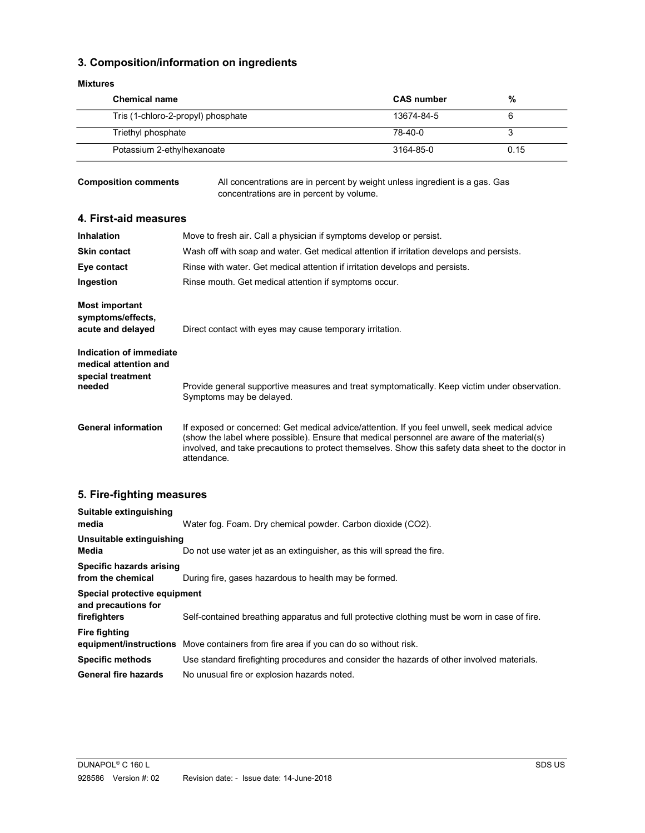## 3. Composition/information on ingredients

#### Mixtures

| <b>Chemical name</b>               | <b>CAS</b> number | %    |
|------------------------------------|-------------------|------|
| Tris (1-chloro-2-propyl) phosphate | 13674-84-5        |      |
| Triethyl phosphate                 | 78-40-0           |      |
| Potassium 2-ethylhexanoate         | 3164-85-0         | 0.15 |

Composition comments All concentrations are in percent by weight unless ingredient is a gas. Gas concentrations are in percent by volume.

## 4. First-aid measures

| <b>Inhalation</b>                                                               | Move to fresh air. Call a physician if symptoms develop or persist.                                                                                                                                                                                                                                                |
|---------------------------------------------------------------------------------|--------------------------------------------------------------------------------------------------------------------------------------------------------------------------------------------------------------------------------------------------------------------------------------------------------------------|
| <b>Skin contact</b>                                                             | Wash off with soap and water. Get medical attention if irritation develops and persists.                                                                                                                                                                                                                           |
| Eye contact                                                                     | Rinse with water. Get medical attention if irritation develops and persists.                                                                                                                                                                                                                                       |
| Ingestion                                                                       | Rinse mouth. Get medical attention if symptoms occur.                                                                                                                                                                                                                                                              |
| Most important<br>symptoms/effects,<br>acute and delayed                        | Direct contact with eyes may cause temporary irritation.                                                                                                                                                                                                                                                           |
| Indication of immediate<br>medical attention and<br>special treatment<br>needed | Provide general supportive measures and treat symptomatically. Keep victim under observation.<br>Symptoms may be delayed.                                                                                                                                                                                          |
| <b>General information</b>                                                      | If exposed or concerned: Get medical advice/attention. If you feel unwell, seek medical advice<br>(show the label where possible). Ensure that medical personnel are aware of the material(s)<br>involved, and take precautions to protect themselves. Show this safety data sheet to the doctor in<br>attendance. |

## 5. Fire-fighting measures

| Suitable extinguishing<br>media                                     | Water fog. Foam. Dry chemical powder. Carbon dioxide (CO2).                                   |
|---------------------------------------------------------------------|-----------------------------------------------------------------------------------------------|
| Unsuitable extinguishing<br>Media                                   | Do not use water jet as an extinguisher, as this will spread the fire.                        |
| Specific hazards arising<br>from the chemical                       | During fire, gases hazardous to health may be formed.                                         |
| Special protective equipment<br>and precautions for<br>firefighters | Self-contained breathing apparatus and full protective clothing must be worn in case of fire. |
| <b>Fire fighting</b>                                                | equipment/instructions Move containers from fire area if you can do so without risk.          |
| <b>Specific methods</b>                                             | Use standard firefighting procedures and consider the hazards of other involved materials.    |
| <b>General fire hazards</b>                                         | No unusual fire or explosion hazards noted.                                                   |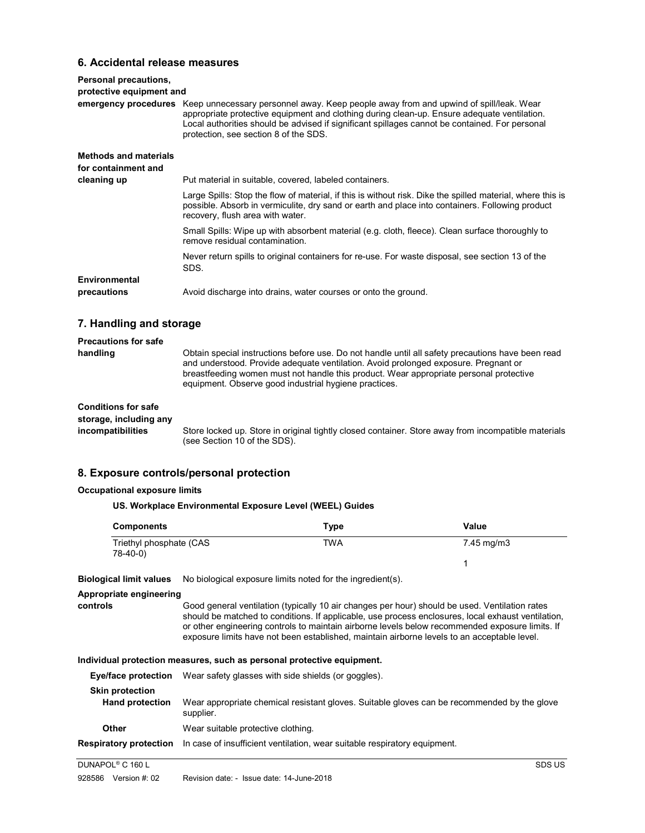## 6. Accidental release measures

| Personal precautions,<br>protective equipment and                  | emergency procedures Keep unnecessary personnel away. Keep people away from and upwind of spill/leak. Wear<br>appropriate protective equipment and clothing during clean-up. Ensure adequate ventilation.<br>Local authorities should be advised if significant spillages cannot be contained. For personal<br>protection, see section 8 of the SDS. |
|--------------------------------------------------------------------|------------------------------------------------------------------------------------------------------------------------------------------------------------------------------------------------------------------------------------------------------------------------------------------------------------------------------------------------------|
| <b>Methods and materials</b><br>for containment and<br>cleaning up | Put material in suitable, covered, labeled containers.                                                                                                                                                                                                                                                                                               |
|                                                                    | Large Spills: Stop the flow of material, if this is without risk. Dike the spilled material, where this is<br>possible. Absorb in vermiculite, dry sand or earth and place into containers. Following product<br>recovery, flush area with water.                                                                                                    |
|                                                                    | Small Spills: Wipe up with absorbent material (e.g. cloth, fleece). Clean surface thoroughly to<br>remove residual contamination.                                                                                                                                                                                                                    |
|                                                                    | Never return spills to original containers for re-use. For waste disposal, see section 13 of the<br>SDS.                                                                                                                                                                                                                                             |
| Environmental<br>precautions                                       | Avoid discharge into drains, water courses or onto the ground.                                                                                                                                                                                                                                                                                       |

## 7. Handling and storage

| <b>Precautions for safe</b>                                               |                                                                                                                                                                                                                                                                                                                                             |
|---------------------------------------------------------------------------|---------------------------------------------------------------------------------------------------------------------------------------------------------------------------------------------------------------------------------------------------------------------------------------------------------------------------------------------|
| handling                                                                  | Obtain special instructions before use. Do not handle until all safety precautions have been read<br>and understood. Provide adequate ventilation. Avoid prolonged exposure. Pregnant or<br>breastfeeding women must not handle this product. Wear appropriate personal protective<br>equipment. Observe good industrial hygiene practices. |
| <b>Conditions for safe</b><br>storage, including any<br>incompatibilities | Store locked up. Store in original tightly closed container. Store away from incompatible materials<br>(see Section 10 of the SDS).                                                                                                                                                                                                         |

#### 8. Exposure controls/personal protection

#### Occupational exposure limits

#### US. Workplace Environmental Exposure Level (WEEL) Guides

| Components                          | Type       | Value      |
|-------------------------------------|------------|------------|
| Triethyl phosphate (CAS<br>78-40-0) | <b>TWA</b> | 7.45 mg/m3 |

Biological limit values No biological exposure limits noted for the ingredient(s).

#### Appropriate engineering

controls Good general ventilation (typically 10 air changes per hour) should be used. Ventilation rates should be matched to conditions. If applicable, use process enclosures, local exhaust ventilation, or other engineering controls to maintain airborne levels below recommended exposure limits. If exposure limits have not been established, maintain airborne levels to an acceptable level.

#### Individual protection measures, such as personal protective equipment.

| Eye/face protection                              | Wear safety glasses with side shields (or goggles).                                                      |
|--------------------------------------------------|----------------------------------------------------------------------------------------------------------|
| <b>Skin protection</b><br><b>Hand protection</b> | Wear appropriate chemical resistant gloves. Suitable gloves can be recommended by the glove<br>supplier. |
| Other                                            | Wear suitable protective clothing.                                                                       |
| <b>Respiratory protection</b>                    | In case of insufficient ventilation, wear suitable respiratory equipment.                                |

```
DUNAPOL<sup>®</sup> C 160 L
C 160 L SDS US
```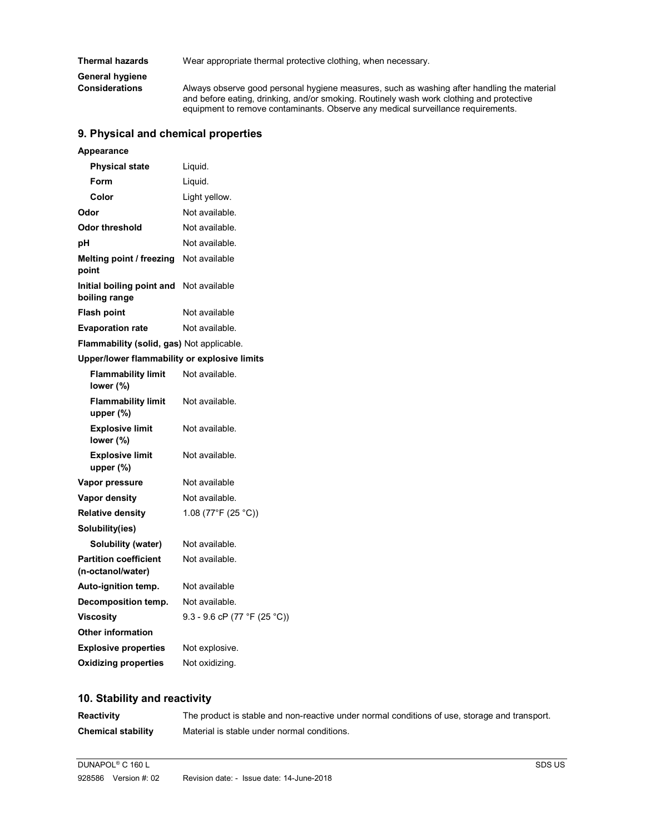Thermal hazards Wear appropriate thermal protective clothing, when necessary.

General hygiene<br>Considerations

Always observe good personal hygiene measures, such as washing after handling the material and before eating, drinking, and/or smoking. Routinely wash work clothing and protective equipment to remove contaminants. Observe any medical surveillance requirements.

## 9. Physical and chemical properties

| Appearance |
|------------|
|------------|

| <b>Physical state</b>                                           | Liquid.        |
|-----------------------------------------------------------------|----------------|
| Form                                                            | Liquid.        |
| Color                                                           | Light yellow.  |
| Odor                                                            | Not available. |
| Odor threshold                                                  | Not available. |
| рH                                                              | Not available. |
| Melting point / freezing<br>point                               | Not available  |
| <b>Initial boiling point and</b> Not available<br>boiling range |                |
| <b>Flash point</b>                                              | Not available  |
| <b>Evaporation rate</b>                                         | Not available. |
| Flammability (solid, gas) Not applicable.                       |                |
| Upper/lower flammability or explosive limits                    |                |
| Flammability limit<br>lower (%)                                 | Not available. |
| <b>Flammability limit</b><br>unner (%)                          | Not available. |

| upper $(\%)$                                      |                              |
|---------------------------------------------------|------------------------------|
| <b>Explosive limit</b><br>lower (%)               | Not available.               |
| <b>Explosive limit</b><br>upper $(\%)$            | Not available.               |
| Vapor pressure                                    | Not available                |
| Vapor density                                     | Not available.               |
| <b>Relative density</b>                           | 1.08 (77°F (25 °C))          |
| Solubility(ies)                                   |                              |
| Solubility (water)                                | Not available.               |
| <b>Partition coefficient</b><br>(n-octanol/water) | Not available.               |
| Auto-ignition temp.                               | Not available                |
| Decomposition temp.                               | Not available.               |
| <b>Viscosity</b>                                  | 9.3 - 9.6 cP (77 °F (25 °C)) |
| <b>Other information</b>                          |                              |
| <b>Explosive properties</b>                       | Not explosive.               |
| <b>Oxidizing properties</b>                       | Not oxidizing.               |

## 10. Stability and reactivity

| <b>Reactivity</b>         | The product is stable and non-reactive under normal conditions of use, storage and transport. |
|---------------------------|-----------------------------------------------------------------------------------------------|
| <b>Chemical stability</b> | Material is stable under normal conditions.                                                   |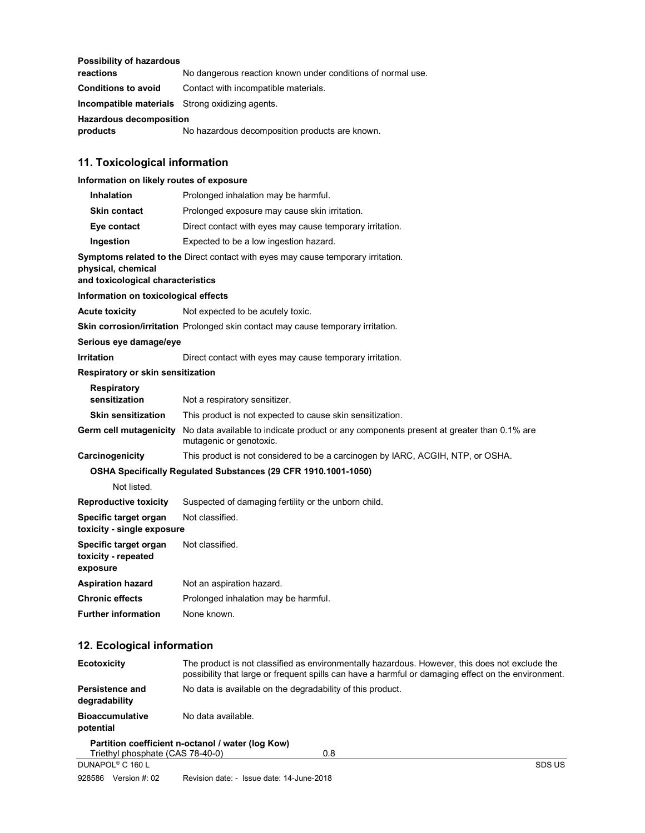### Possibility of hazardous

| reactions                                              | No dangerous reaction known under conditions of normal use. |
|--------------------------------------------------------|-------------------------------------------------------------|
| <b>Conditions to avoid</b>                             | Contact with incompatible materials.                        |
| <b>Incompatible materials</b> Strong oxidizing agents. |                                                             |

Hazardous decomposition

products No hazardous decomposition products are known.

## 11. Toxicological information

## Information on likely routes of exposure

| <b>Inhalation</b>                                                                                                                                  | Prolonged inhalation may be harmful.                                                                                |  |
|----------------------------------------------------------------------------------------------------------------------------------------------------|---------------------------------------------------------------------------------------------------------------------|--|
| <b>Skin contact</b>                                                                                                                                | Prolonged exposure may cause skin irritation.                                                                       |  |
| Eye contact                                                                                                                                        | Direct contact with eyes may cause temporary irritation.                                                            |  |
| Ingestion                                                                                                                                          | Expected to be a low ingestion hazard.                                                                              |  |
| <b>Symptoms related to the Direct contact with eyes may cause temporary irritation.</b><br>physical, chemical<br>and toxicological characteristics |                                                                                                                     |  |
| Information on toxicological effects                                                                                                               |                                                                                                                     |  |
| <b>Acute toxicity</b>                                                                                                                              | Not expected to be acutely toxic.                                                                                   |  |
|                                                                                                                                                    | <b>Skin corrosion/irritation</b> Prolonged skin contact may cause temporary irritation.                             |  |
| Serious eye damage/eye                                                                                                                             |                                                                                                                     |  |
| <b>Irritation</b>                                                                                                                                  | Direct contact with eyes may cause temporary irritation.                                                            |  |
| Respiratory or skin sensitization                                                                                                                  |                                                                                                                     |  |
| <b>Respiratory</b><br>sensitization                                                                                                                | Not a respiratory sensitizer.                                                                                       |  |
| <b>Skin sensitization</b>                                                                                                                          | This product is not expected to cause skin sensitization.                                                           |  |
| Germ cell mutagenicity                                                                                                                             | No data available to indicate product or any components present at greater than 0.1% are<br>mutagenic or genotoxic. |  |
| Carcinogenicity                                                                                                                                    | This product is not considered to be a carcinogen by IARC, ACGIH, NTP, or OSHA.                                     |  |
|                                                                                                                                                    | OSHA Specifically Regulated Substances (29 CFR 1910.1001-1050)                                                      |  |
| Not listed.                                                                                                                                        |                                                                                                                     |  |
| <b>Reproductive toxicity</b>                                                                                                                       | Suspected of damaging fertility or the unborn child.                                                                |  |
| Specific target organ<br>toxicity - single exposure                                                                                                | Not classified.                                                                                                     |  |
| Specific target organ<br>toxicity - repeated<br>exposure                                                                                           | Not classified.                                                                                                     |  |
| <b>Aspiration hazard</b>                                                                                                                           | Not an aspiration hazard.                                                                                           |  |
| <b>Chronic effects</b>                                                                                                                             | Prolonged inhalation may be harmful.                                                                                |  |
| <b>Further information</b>                                                                                                                         | None known.                                                                                                         |  |

## 12. Ecological information

| <b>Ecotoxicity</b>                  | The product is not classified as environmentally hazardous. However, this does not exclude the<br>possibility that large or frequent spills can have a harmful or damaging effect on the environment. |
|-------------------------------------|-------------------------------------------------------------------------------------------------------------------------------------------------------------------------------------------------------|
| Persistence and<br>degradability    | No data is available on the degradability of this product.                                                                                                                                            |
| <b>Bioaccumulative</b><br>potential | No data available.                                                                                                                                                                                    |
| Triethyl phosphate (CAS 78-40-0)    | Partition coefficient n-octanol / water (log Kow)<br>0.8                                                                                                                                              |
| DUNAPOL <sup>®</sup> C 160 L        | SDS US                                                                                                                                                                                                |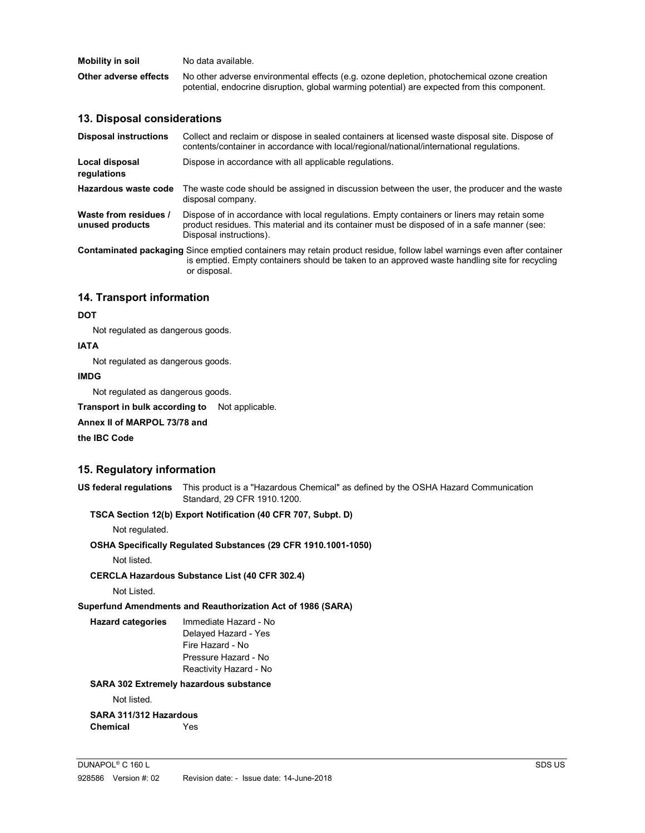| Mobility in soil      | No data available.                                                                           |
|-----------------------|----------------------------------------------------------------------------------------------|
| Other adverse effects | No other adverse environmental effects (e.g. ozone depletion, photochemical ozone creation   |
|                       | potential, endocrine disruption, global warming potential) are expected from this component. |

### 13. Disposal considerations

| <b>Disposal instructions</b>                                                                                                                                                                                                            | Collect and reclaim or dispose in sealed containers at licensed waste disposal site. Dispose of<br>contents/container in accordance with local/regional/national/international regulations.                            |
|-----------------------------------------------------------------------------------------------------------------------------------------------------------------------------------------------------------------------------------------|------------------------------------------------------------------------------------------------------------------------------------------------------------------------------------------------------------------------|
| Local disposal<br>regulations                                                                                                                                                                                                           | Dispose in accordance with all applicable regulations.                                                                                                                                                                 |
| Hazardous waste code                                                                                                                                                                                                                    | The waste code should be assigned in discussion between the user, the producer and the waste<br>disposal company.                                                                                                      |
| Waste from residues /<br>unused products                                                                                                                                                                                                | Dispose of in accordance with local regulations. Empty containers or liners may retain some<br>product residues. This material and its container must be disposed of in a safe manner (see:<br>Disposal instructions). |
| Contaminated packaging Since emptied containers may retain product residue, follow label warnings even after container<br>is emptied. Empty containers should be taken to an approved waste handling site for recycling<br>or disposal. |                                                                                                                                                                                                                        |

## 14. Transport information

#### **DOT**

Not regulated as dangerous goods.

#### IATA

Not regulated as dangerous goods.

## IMDG

Not regulated as dangerous goods.

Transport in bulk according to Not applicable.

### Annex II of MARPOL 73/78 and

the IBC Code

## 15. Regulatory information

US federal regulations This product is a "Hazardous Chemical" as defined by the OSHA Hazard Communication Standard, 29 CFR 1910.1200.

### TSCA Section 12(b) Export Notification (40 CFR 707, Subpt. D)

Not regulated.

#### OSHA Specifically Regulated Substances (29 CFR 1910.1001-1050)

Not listed.

#### CERCLA Hazardous Substance List (40 CFR 302.4)

Not Listed.

Superfund Amendments and Reauthorization Act of 1986 (SARA)

 Hazard categories Immediate Hazard - No Delayed Hazard - Yes Fire Hazard - No Pressure Hazard - No Reactivity Hazard - No

#### SARA 302 Extremely hazardous substance

Not listed.

## SARA 311/312 Hazardous Chemical Yes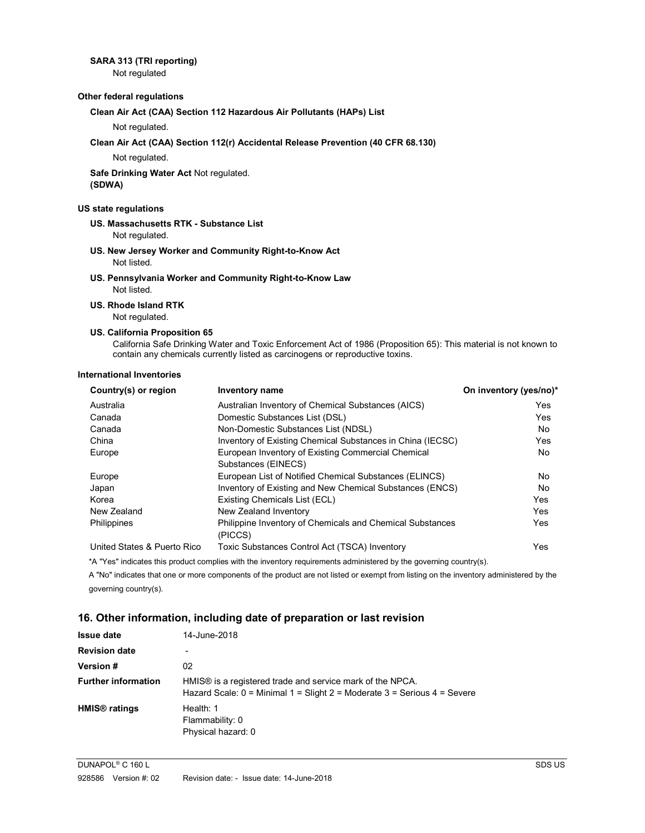#### SARA 313 (TRI reporting)

Not regulated

#### Other federal regulations

#### Clean Air Act (CAA) Section 112 Hazardous Air Pollutants (HAPs) List

Not regulated.

#### Clean Air Act (CAA) Section 112(r) Accidental Release Prevention (40 CFR 68.130)

Not regulated.

#### Safe Drinking Water Act Not regulated. (SDWA)

#### US state regulations

 US. Massachusetts RTK - Substance List Not regulated.

- US. New Jersey Worker and Community Right-to-Know Act Not listed.
- US. Pennsylvania Worker and Community Right-to-Know Law Not listed.

#### US. Rhode Island RTK

Not regulated.

#### US. California Proposition 65

California Safe Drinking Water and Toxic Enforcement Act of 1986 (Proposition 65): This material is not known to contain any chemicals currently listed as carcinogens or reproductive toxins.

#### International Inventories

| Country(s) or region        | <b>Inventory name</b>                                            | On inventory (yes/no)* |
|-----------------------------|------------------------------------------------------------------|------------------------|
| Australia                   | Australian Inventory of Chemical Substances (AICS)               | Yes                    |
| Canada                      | Domestic Substances List (DSL)                                   | Yes                    |
| Canada                      | Non-Domestic Substances List (NDSL)                              | No                     |
| China                       | Inventory of Existing Chemical Substances in China (IECSC)       | Yes                    |
| Europe                      | European Inventory of Existing Commercial Chemical               | No                     |
|                             | Substances (EINECS)                                              |                        |
| Europe                      | European List of Notified Chemical Substances (ELINCS)           | No                     |
| Japan                       | Inventory of Existing and New Chemical Substances (ENCS)         | No.                    |
| Korea                       | Existing Chemicals List (ECL)                                    | Yes                    |
| New Zealand                 | New Zealand Inventory                                            | Yes                    |
| Philippines                 | <b>Philippine Inventory of Chemicals and Chemical Substances</b> | Yes                    |
|                             | (PICCS)                                                          |                        |
| United States & Puerto Rico | Toxic Substances Control Act (TSCA) Inventory                    | Yes                    |

\*A "Yes" indicates this product complies with the inventory requirements administered by the governing country(s).

 A "No" indicates that one or more components of the product are not listed or exempt from listing on the inventory administered by the governing country(s).

#### 16. Other information, including date of preparation or last revision

| <b>Issue date</b>          | 14-June-2018                                                                                                                            |
|----------------------------|-----------------------------------------------------------------------------------------------------------------------------------------|
| <b>Revision date</b>       | ٠                                                                                                                                       |
| Version #                  | 02                                                                                                                                      |
| <b>Further information</b> | HMIS® is a registered trade and service mark of the NPCA.<br>Hazard Scale: $0 =$ Minimal 1 = Slight 2 = Moderate 3 = Serious 4 = Severe |
| HMIS <sup>®</sup> ratings  | Health: 1<br>Flammability: 0<br>Physical hazard: 0                                                                                      |